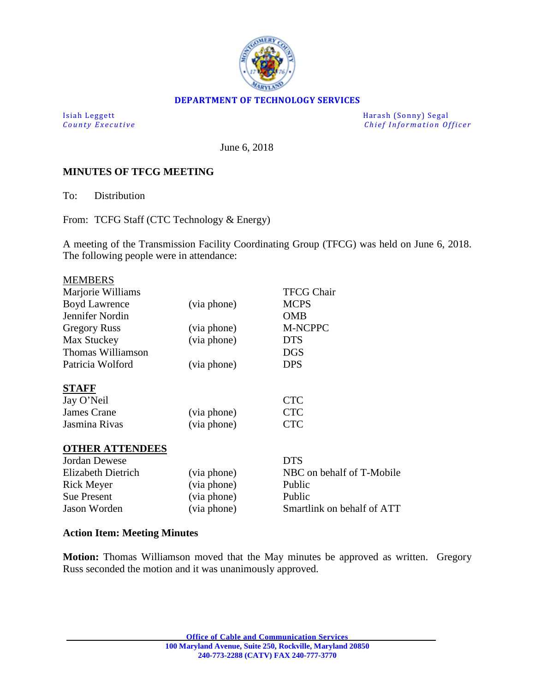

#### **DEPARTMENT OF TECHNOLOGY SERVICES**

Isiah Leggett Harash (Sonny) Segal *Chief Information Officer* 

June 6, 2018

## **MINUTES OF TFCG MEETING**

To: Distribution

From: TCFG Staff (CTC Technology & Energy)

A meeting of the Transmission Facility Coordinating Group (TFCG) was held on June 6, 2018. The following people were in attendance:

| <b>MEMBERS</b>            |             |                            |
|---------------------------|-------------|----------------------------|
| Marjorie Williams         |             | <b>TFCG Chair</b>          |
| <b>Boyd Lawrence</b>      | (via phone) | <b>MCPS</b>                |
| Jennifer Nordin           |             | <b>OMB</b>                 |
| <b>Gregory Russ</b>       | (via phone) | M-NCPPC                    |
| Max Stuckey               | (via phone) | <b>DTS</b>                 |
| Thomas Williamson         |             | <b>DGS</b>                 |
| Patricia Wolford          | (via phone) | <b>DPS</b>                 |
| <b>STAFF</b>              |             |                            |
| Jay O'Neil                |             | <b>CTC</b>                 |
| James Crane               | (via phone) | <b>CTC</b>                 |
| Jasmina Rivas             | (via phone) | <b>CTC</b>                 |
| <b>OTHER ATTENDEES</b>    |             |                            |
| <b>Jordan Dewese</b>      |             | <b>DTS</b>                 |
| <b>Elizabeth Dietrich</b> | (via phone) | NBC on behalf of T-Mobile  |
| <b>Rick Meyer</b>         | (via phone) | Public                     |
| <b>Sue Present</b>        | (via phone) | Public                     |
| Jason Worden              | (via phone) | Smartlink on behalf of ATT |

## **Action Item: Meeting Minutes**

**Motion:** Thomas Williamson moved that the May minutes be approved as written. Gregory Russ seconded the motion and it was unanimously approved.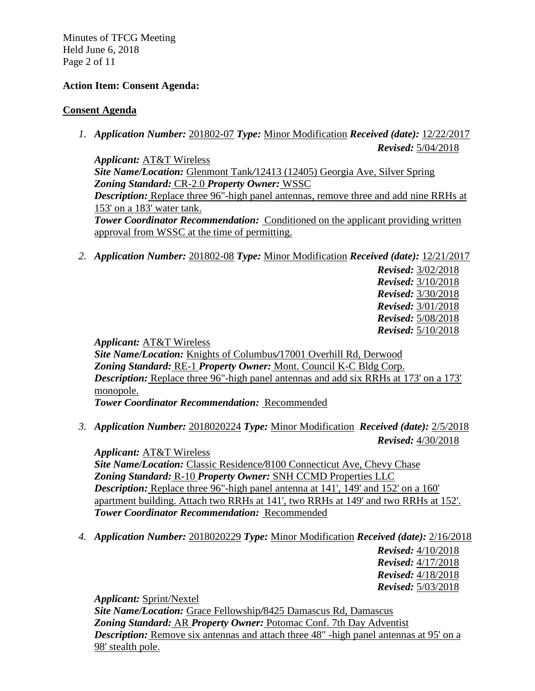Minutes of TFCG Meeting Held June 6, 2018 Page 2 of 11

## **Action Item: Consent Agenda:**

#### **Consent Agenda**

*1. Application Number:* 201802-07 *Type:* Minor Modification *Received (date):* 12/22/2017 *Revised:* 5/04/2018

*Applicant:* AT&T Wireless *Site Name/Location:* Glenmont Tank*/*12413 (12405) Georgia Ave, Silver Spring *Zoning Standard:* CR-2.0 *Property Owner:* WSSC *Description:* Replace three 96"-high panel antennas, remove three and add nine RRHs at 153' on a 183' water tank. **Tower Coordinator Recommendation:** Conditioned on the applicant providing written approval from WSSC at the time of permitting.

*2. Application Number:* 201802-08 *Type:* Minor Modification *Received (date):* 12/21/2017

 *Revised:* 3/02/2018 *Revised:* 3/10/2018 *Revised:* 3/30/2018 *Revised:* 3/01/2018 *Revised:* 5/08/2018 *Revised:* 5/10/2018

*Applicant:* AT&T Wireless

*Site Name/Location:* Knights of Columbus*/*17001 Overhill Rd, Derwood *Zoning Standard:* RE-1 *Property Owner:* Mont. Council K-C Bldg Corp. *Description:* Replace three 96"-high panel antennas and add six RRHs at 173' on a 173' monopole. *Tower Coordinator Recommendation:* Recommended

*3. Application Number:* 2018020224 *Type:* Minor Modification *Received (date):* 2/5/2018 *Revised:* 4/30/2018

*Applicant:* AT&T Wireless *Site Name/Location:* Classic Residence*/*8100 Connecticut Ave, Chevy Chase *Zoning Standard:* R-10 *Property Owner:* SNH CCMD Properties LLC *Description:* Replace three 96"-high panel antenna at 141', 149' and 152' on a 160' apartment building. Attach two RRHs at 141', two RRHs at 149' and two RRHs at 152'. *Tower Coordinator Recommendation:* Recommended

*4. Application Number:* 2018020229 *Type:* Minor Modification *Received (date):* 2/16/2018

*Revised:* 4/10/2018 *Revised:* 4/17/2018 *Revised:* 4/18/2018 *Revised:* 5/03/2018

*Applicant:* Sprint/Nextel

*Site Name/Location:* Grace Fellowship*/*8425 Damascus Rd, Damascus *Zoning Standard:* AR *Property Owner:* Potomac Conf. 7th Day Adventist *Description:* Remove six antennas and attach three 48" -high panel antennas at 95' on a 98' stealth pole.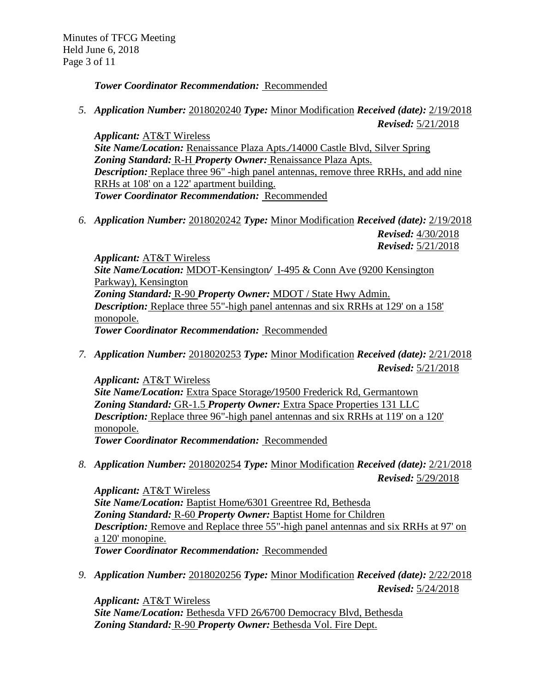*Tower Coordinator Recommendation:* Recommended

*5. Application Number:* 2018020240 *Type:* Minor Modification *Received (date):* 2/19/2018

*Revised:* 5/21/2018 *Applicant:* AT&T Wireless *Site Name/Location:* Renaissance Plaza Apts.*/*14000 Castle Blvd, Silver Spring *Zoning Standard:* R-H *Property Owner:* Renaissance Plaza Apts. *Description:* Replace three 96" -high panel antennas, remove three RRHs, and add nine RRHs at 108' on a 122' apartment building.

*Tower Coordinator Recommendation:* Recommended

*6. Application Number:* 2018020242 *Type:* Minor Modification *Received (date):* 2/19/2018 *Revised:* 4/30/2018

*Revised:* 5/21/2018

*Applicant:* AT&T Wireless *Site Name/Location:* MDOT-Kensington*/* I-495 & Conn Ave (9200 Kensington Parkway), Kensington *Zoning Standard:* R-90 *Property Owner:* MDOT / State Hwy Admin. *Description:* Replace three 55"-high panel antennas and six RRHs at 129' on a 158' monopole. *Tower Coordinator Recommendation:* Recommended

*7. Application Number:* 2018020253 *Type:* Minor Modification *Received (date):* 2/21/2018 *Revised:* 5/21/2018

*Applicant:* AT&T Wireless *Site Name/Location:* Extra Space Storage*/*19500 Frederick Rd, Germantown *Zoning Standard:* GR-1.5 *Property Owner:* Extra Space Properties 131 LLC *Description:* Replace three 96"-high panel antennas and six RRHs at 119' on a 120' monopole. *Tower Coordinator Recommendation:* Recommended

*8. Application Number:* 2018020254 *Type:* Minor Modification *Received (date):* 2/21/2018 *Revised:* 5/29/2018

*Applicant:* AT&T Wireless *Site Name/Location:* Baptist Home*/*6301 Greentree Rd, Bethesda *Zoning Standard:* R-60 *Property Owner:* Baptist Home for Children *Description:* Remove and Replace three 55"-high panel antennas and six RRHs at 97' on a 120' monopine. *Tower Coordinator Recommendation:* Recommended

*9. Application Number:* 2018020256 *Type:* Minor Modification *Received (date):* 2/22/2018 *Revised:* 5/24/2018

*Applicant:* AT&T Wireless *Site Name/Location:* Bethesda VFD 26*/*6700 Democracy Blvd, Bethesda *Zoning Standard:* R-90 *Property Owner:* Bethesda Vol. Fire Dept.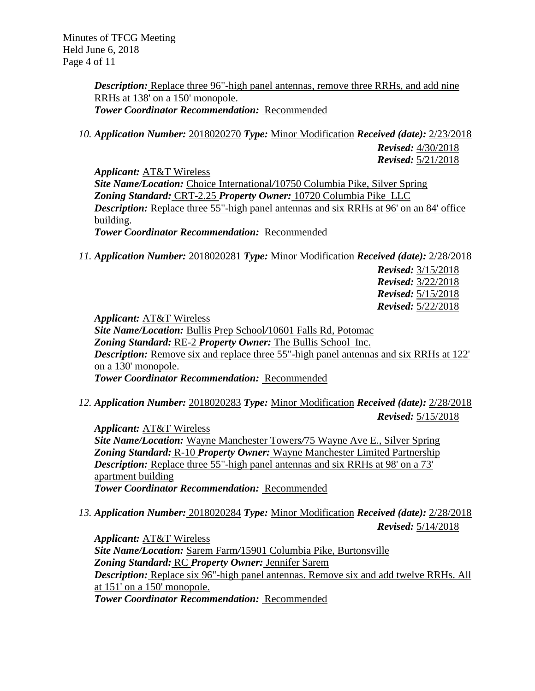Minutes of TFCG Meeting Held June 6, 2018 Page 4 of 11

> *Description:* Replace three 96"-high panel antennas, remove three RRHs, and add nine RRHs at 138' on a 150' monopole. *Tower Coordinator Recommendation:* Recommended

*10. Application Number:* 2018020270 *Type:* Minor Modification *Received (date):* 2/23/2018 *Revised:* 4/30/2018 *Revised:* 5/21/2018

*Applicant:* AT&T Wireless *Site Name/Location:* Choice International*/*10750 Columbia Pike, Silver Spring *Zoning Standard:* CRT-2.25 *Property Owner:* 10720 Columbia Pike LLC *Description:* Replace three 55"-high panel antennas and six RRHs at 96' on an 84' office building. *Tower Coordinator Recommendation:* Recommended

*11. Application Number:* 2018020281 *Type:* Minor Modification *Received (date):* 2/28/2018

*Revised:* 3/15/2018 *Revised:* 3/22/2018 *Revised:* 5/15/2018 *Revised:* 5/22/2018

*Applicant:* AT&T Wireless *Site Name/Location:* Bullis Prep School*/*10601 Falls Rd, Potomac *Zoning Standard:* RE-2 *Property Owner:* The Bullis School Inc. **Description:** Remove six and replace three 55"-high panel antennas and six RRHs at 122' on a 130' monopole.

*Tower Coordinator Recommendation:* Recommended

*12. Application Number:* 2018020283 *Type:* Minor Modification *Received (date):* 2/28/2018

*Revised:* 5/15/2018

*Applicant:* AT&T Wireless *Site Name/Location:* Wayne Manchester Towers*/*75 Wayne Ave E., Silver Spring *Zoning Standard:* R-10 *Property Owner:* Wayne Manchester Limited Partnership **Description:** Replace three 55"-high panel antennas and six RRHs at 98' on a 73' apartment building *Tower Coordinator Recommendation:* Recommended

*13. Application Number:* 2018020284 *Type:* Minor Modification *Received (date):* 2/28/2018 *Revised:* 5/14/2018

*Applicant:* AT&T Wireless *Site Name/Location:* Sarem Farm*/*15901 Columbia Pike, Burtonsville *Zoning Standard:* RC *Property Owner:* Jennifer Sarem *Description:* Replace six 96"-high panel antennas. Remove six and add twelve RRHs. All at 151' on a 150' monopole. *Tower Coordinator Recommendation:* Recommended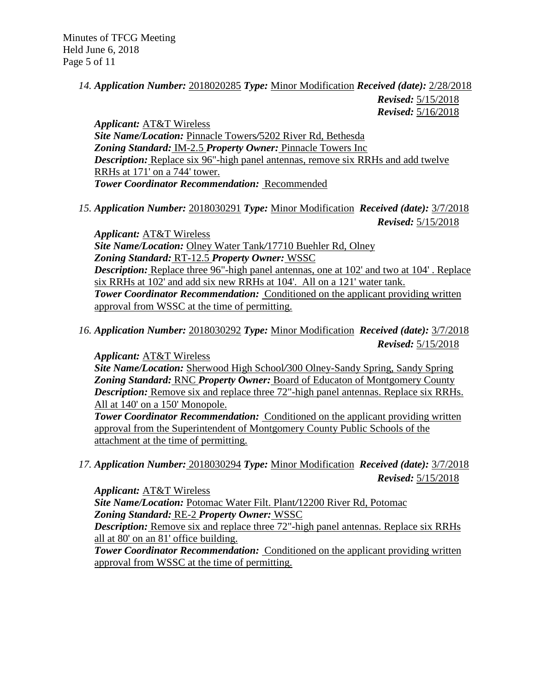## *14. Application Number:* 2018020285 *Type:* Minor Modification *Received (date):* 2/28/2018

*Revised:* 5/15/2018 *Revised:* 5/16/2018

*Applicant:* AT&T Wireless *Site Name/Location:* Pinnacle Towers*/*5202 River Rd, Bethesda *Zoning Standard:* IM-2.5 *Property Owner:* Pinnacle Towers Inc *Description:* Replace six 96"-high panel antennas, remove six RRHs and add twelve RRHs at 171' on a 744' tower. *Tower Coordinator Recommendation:* Recommended

*15. Application Number:* 2018030291 *Type:* Minor Modification *Received (date):* 3/7/2018 *Revised:* 5/15/2018

*Applicant:* AT&T Wireless *Site Name/Location:* Olney Water Tank*/*17710 Buehler Rd, Olney *Zoning Standard:* RT-12.5 *Property Owner:* WSSC *Description:* Replace three 96"-high panel antennas, one at 102' and two at 104' . Replace six RRHs at 102' and add six new RRHs at 104'. All on a 121' water tank. **Tower Coordinator Recommendation:** Conditioned on the applicant providing written approval from WSSC at the time of permitting.

*16. Application Number:* 2018030292 *Type:* Minor Modification *Received (date):* 3/7/2018 *Revised:* 5/15/2018

*Applicant:* AT&T Wireless

*Site Name/Location:* Sherwood High School*/*300 Olney-Sandy Spring, Sandy Spring *Zoning Standard:* RNC *Property Owner:* Board of Educaton of Montgomery County *Description:* Remove six and replace three 72"-high panel antennas. Replace six RRHs. All at 140' on a 150' Monopole.

**Tower Coordinator Recommendation:** Conditioned on the applicant providing written approval from the Superintendent of Montgomery County Public Schools of the attachment at the time of permitting.

*17. Application Number:* 2018030294 *Type:* Minor Modification *Received (date):* 3/7/2018 *Revised:* 5/15/2018

*Applicant:* AT&T Wireless

*Site Name/Location:* Potomac Water Filt. Plant*/*12200 River Rd, Potomac *Zoning Standard:* RE-2 *Property Owner:* WSSC

*Description:* Remove six and replace three 72"-high panel antennas. Replace six RRHs all at 80' on an 81' office building.

**Tower Coordinator Recommendation:** Conditioned on the applicant providing written approval from WSSC at the time of permitting.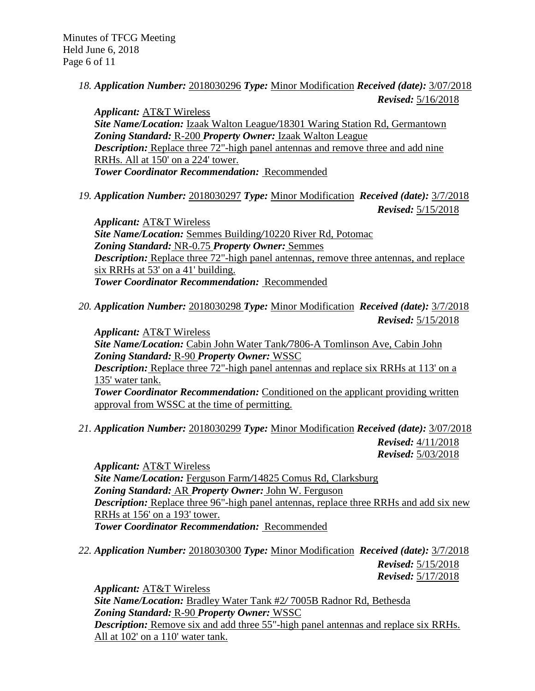*18. Application Number:* 2018030296 *Type:* Minor Modification *Received (date):* 3/07/2018 *Revised:* 5/16/2018

*Applicant:* AT&T Wireless *Site Name/Location:* Izaak Walton League*/*18301 Waring Station Rd, Germantown *Zoning Standard:* R-200 *Property Owner:* Izaak Walton League *Description:* Replace three 72"-high panel antennas and remove three and add nine RRHs. All at 150' on a 224' tower. *Tower Coordinator Recommendation:* Recommended

*19. Application Number:* 2018030297 *Type:* Minor Modification *Received (date):* 3/7/2018 *Revised:* 5/15/2018

*Applicant:* AT&T Wireless *Site Name/Location:* Semmes Building*/*10220 River Rd, Potomac *Zoning Standard:* NR-0.75 *Property Owner:* Semmes *Description:* Replace three 72"-high panel antennas, remove three antennas, and replace six RRHs at 53' on a 41' building. *Tower Coordinator Recommendation:* Recommended

*20. Application Number:* 2018030298 *Type:* Minor Modification *Received (date):* 3/7/2018 *Revised:* 5/15/2018

*Applicant:* AT&T Wireless *Site Name/Location:* Cabin John Water Tank*/*7806-A Tomlinson Ave, Cabin John *Zoning Standard:* R-90 *Property Owner:* WSSC *Description:* Replace three 72"-high panel antennas and replace six RRHs at 113' on a 135' water tank. **Tower Coordinator Recommendation:** Conditioned on the applicant providing written approval from WSSC at the time of permitting.

*21. Application Number:* 2018030299 *Type:* Minor Modification *Received (date):* 3/07/2018 *Revised:* 4/11/2018 *Revised:* 5/03/2018

*Applicant:* AT&T Wireless *Site Name/Location:* Ferguson Farm*/*14825 Comus Rd, Clarksburg *Zoning Standard:* AR *Property Owner:* John W. Ferguson *Description:* Replace three 96"-high panel antennas, replace three RRHs and add six new RRHs at 156' on a 193' tower. *Tower Coordinator Recommendation:* Recommended

*22. Application Number:* 2018030300 *Type:* Minor Modification *Received (date):* 3/7/2018

*Revised:* 5/15/2018 *Revised:* 5/17/2018

*Applicant:* AT&T Wireless *Site Name/Location:* Bradley Water Tank #2*/* 7005B Radnor Rd, Bethesda *Zoning Standard:* R-90 *Property Owner:* WSSC *Description:* Remove six and add three 55"-high panel antennas and replace six RRHs. All at 102' on a 110' water tank.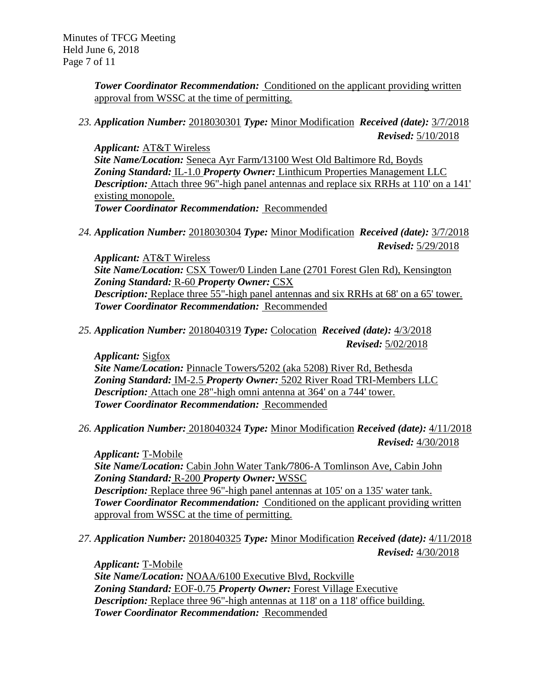Minutes of TFCG Meeting Held June 6, 2018 Page 7 of 11

> **Tower Coordinator Recommendation:** Conditioned on the applicant providing written approval from WSSC at the time of permitting.

*23. Application Number:* 2018030301 *Type:* Minor Modification *Received (date):* 3/7/2018 *Revised:* 5/10/2018

*Applicant:* AT&T Wireless *Site Name/Location:* Seneca Ayr Farm*/*13100 West Old Baltimore Rd, Boyds *Zoning Standard:* IL-1.0 *Property Owner:* Linthicum Properties Management LLC *Description:* Attach three 96"-high panel antennas and replace six RRHs at 110' on a 141' existing monopole. *Tower Coordinator Recommendation:* Recommended

*24. Application Number:* 2018030304 *Type:* Minor Modification *Received (date):* 3/7/2018 *Revised:* 5/29/2018

*Applicant:* AT&T Wireless *Site Name/Location:* CSX Tower*/*0 Linden Lane (2701 Forest Glen Rd), Kensington *Zoning Standard:* R-60 *Property Owner:* CSX *Description:* Replace three 55"-high panel antennas and six RRHs at 68' on a 65' tower. *Tower Coordinator Recommendation:* Recommended

*25. Application Number:* 2018040319 *Type:* Colocation *Received (date):* 4/3/2018 *Revised:* 5/02/2018

*Applicant:* Sigfox *Site Name/Location:* Pinnacle Towers*/*5202 (aka 5208) River Rd, Bethesda *Zoning Standard:* IM-2.5 *Property Owner:* 5202 River Road TRI-Members LLC *Description:* Attach one 28"-high omni antenna at 364' on a 744' tower. *Tower Coordinator Recommendation:* Recommended

*26. Application Number:* 2018040324 *Type:* Minor Modification *Received (date):* 4/11/2018 *Revised:* 4/30/2018

*Applicant:* T-Mobile *Site Name/Location:* Cabin John Water Tank*/*7806-A Tomlinson Ave, Cabin John *Zoning Standard:* R-200 *Property Owner:* WSSC *Description:* Replace three 96"-high panel antennas at 105' on a 135' water tank. **Tower Coordinator Recommendation:** Conditioned on the applicant providing written approval from WSSC at the time of permitting.

*27. Application Number:* 2018040325 *Type:* Minor Modification *Received (date):* 4/11/2018 *Revised:* 4/30/2018

*Applicant:* T-Mobile *Site Name/Location:* NOAA/6100 Executive Blvd, Rockville *Zoning Standard:* EOF-0.75 *Property Owner:* Forest Village Executive *Description:* Replace three 96"-high antennas at 118' on a 118' office building. *Tower Coordinator Recommendation:* Recommended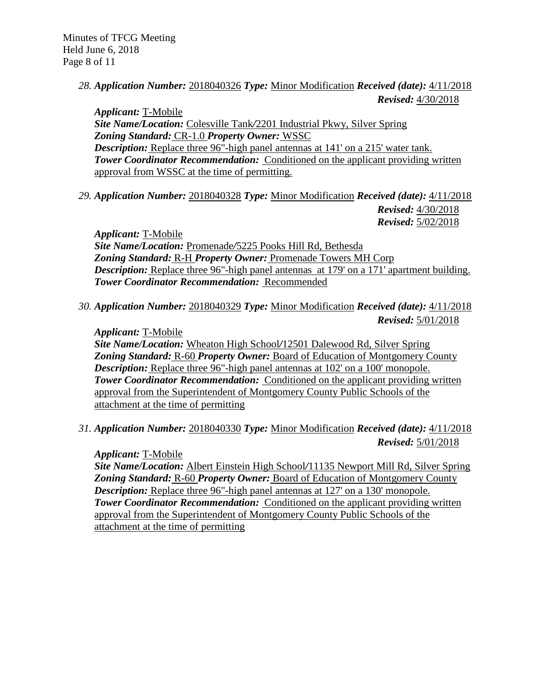## *28. Application Number:* 2018040326 *Type:* Minor Modification *Received (date):* 4/11/2018 *Revised:* 4/30/2018

*Applicant:* T-Mobile *Site Name/Location:* Colesville Tank*/*2201 Industrial Pkwy, Silver Spring *Zoning Standard:* CR-1.0 *Property Owner:* WSSC *Description:* Replace three 96"-high panel antennas at 141' on a 215' water tank. **Tower Coordinator Recommendation:** Conditioned on the applicant providing written approval from WSSC at the time of permitting.

*29. Application Number:* 2018040328 *Type:* Minor Modification *Received (date):* 4/11/2018 *Revised:* 4/30/2018 *Revised:* 5/02/2018

*Applicant:* T-Mobile *Site Name/Location:* Promenade*/*5225 Pooks Hill Rd, Bethesda *Zoning Standard:* R-H *Property Owner:* Promenade Towers MH Corp *Description:* Replace three 96"-high panel antennas at 179' on a 171' apartment building. *Tower Coordinator Recommendation:* Recommended

*30. Application Number:* 2018040329 *Type:* Minor Modification *Received (date):* 4/11/2018 *Revised:* 5/01/2018

## *Applicant:* T-Mobile

*Site Name/Location:* Wheaton High School*/*12501 Dalewood Rd, Silver Spring *Zoning Standard:* R-60 *Property Owner:* Board of Education of Montgomery County *Description:* Replace three 96"-high panel antennas at 102' on a 100' monopole. **Tower Coordinator Recommendation:** Conditioned on the applicant providing written approval from the Superintendent of Montgomery County Public Schools of the attachment at the time of permitting

*31. Application Number:* 2018040330 *Type:* Minor Modification *Received (date):* 4/11/2018 *Revised:* 5/01/2018

## *Applicant:* T-Mobile

*Site Name/Location:* Albert Einstein High School*/*11135 Newport Mill Rd, Silver Spring *Zoning Standard:* R-60 *Property Owner:* Board of Education of Montgomery County *Description:* Replace three 96"-high panel antennas at 127' on a 130' monopole. **Tower Coordinator Recommendation:** Conditioned on the applicant providing written approval from the Superintendent of Montgomery County Public Schools of the attachment at the time of permitting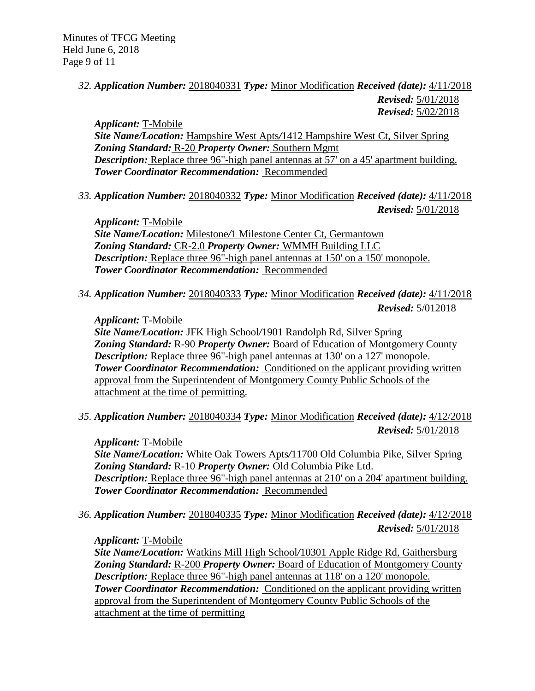# *32. Application Number:* 2018040331 *Type:* Minor Modification *Received (date):* 4/11/2018 *Revised:* 5/01/2018

*Revised:* 5/02/2018

*Applicant:* T-Mobile *Site Name/Location:* Hampshire West Apts*/*1412 Hampshire West Ct, Silver Spring *Zoning Standard:* R-20 *Property Owner:* Southern Mgmt *Description:* Replace three 96"-high panel antennas at 57' on a 45' apartment building. *Tower Coordinator Recommendation:* Recommended

*33. Application Number:* 2018040332 *Type:* Minor Modification *Received (date):* 4/11/2018 *Revised:* 5/01/2018

*Applicant:* T-Mobile *Site Name/Location:* Milestone*/*1 Milestone Center Ct, Germantown *Zoning Standard:* CR-2.0 *Property Owner:* WMMH Building LLC *Description:* Replace three 96"-high panel antennas at 150' on a 150' monopole. *Tower Coordinator Recommendation:* Recommended

*34. Application Number:* 2018040333 *Type:* Minor Modification *Received (date):* 4/11/2018 *Revised:* 5/012018

## *Applicant:* T-Mobile

*Site Name/Location:* JFK High School*/*1901 Randolph Rd, Silver Spring *Zoning Standard:* R-90 *Property Owner:* Board of Education of Montgomery County *Description:* Replace three 96"-high panel antennas at 130' on a 127' monopole. **Tower Coordinator Recommendation:** Conditioned on the applicant providing written approval from the Superintendent of Montgomery County Public Schools of the attachment at the time of permitting.

*35. Application Number:* 2018040334 *Type:* Minor Modification *Received (date):* 4/12/2018 *Revised:* 5/01/2018

*Applicant:* T-Mobile

*Site Name/Location:* White Oak Towers Apts*/*11700 Old Columbia Pike, Silver Spring *Zoning Standard:* R-10 *Property Owner:* Old Columbia Pike Ltd. *Description:* Replace three 96"-high panel antennas at 210' on a 204' apartment building. *Tower Coordinator Recommendation:* Recommended

*36. Application Number:* 2018040335 *Type:* Minor Modification *Received (date):* 4/12/2018 *Revised:* 5/01/2018

*Applicant:* T-Mobile

*Site Name/Location:* Watkins Mill High School*/*10301 Apple Ridge Rd, Gaithersburg *Zoning Standard:* R-200 *Property Owner:* Board of Education of Montgomery County *Description:* Replace three 96"-high panel antennas at 118' on a 120' monopole. **Tower Coordinator Recommendation:** Conditioned on the applicant providing written approval from the Superintendent of Montgomery County Public Schools of the attachment at the time of permitting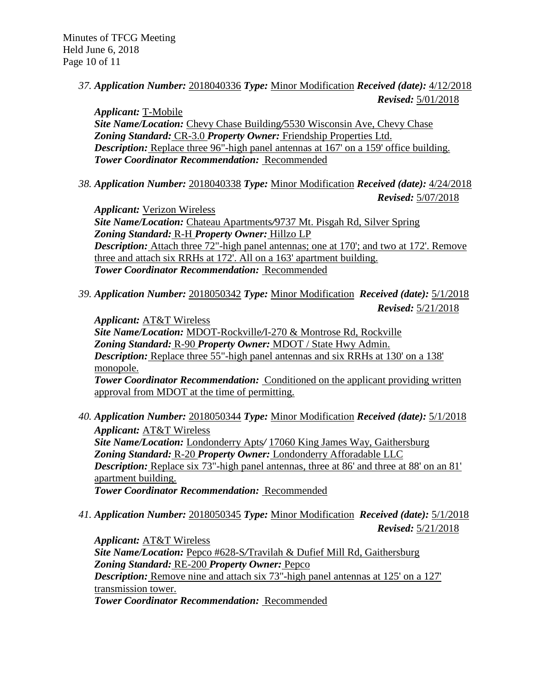*37. Application Number:* 2018040336 *Type:* Minor Modification *Received (date):* 4/12/2018 *Revised:* 5/01/2018

*Applicant:* T-Mobile *Site Name/Location:* Chevy Chase Building*/*5530 Wisconsin Ave, Chevy Chase *Zoning Standard:* CR-3.0 *Property Owner:* Friendship Properties Ltd. *Description:* Replace three 96"-high panel antennas at 167' on a 159' office building. *Tower Coordinator Recommendation:* Recommended

*38. Application Number:* 2018040338 *Type:* Minor Modification *Received (date):* 4/24/2018

*Revised:* 5/07/2018

*Applicant:* Verizon Wireless *Site Name/Location:* Chateau Apartments*/*9737 Mt. Pisgah Rd, Silver Spring *Zoning Standard:* R-H *Property Owner:* Hillzo LP *Description:* Attach three 72"-high panel antennas; one at 170'; and two at 172'. Remove three and attach six RRHs at 172'. All on a 163' apartment building. *Tower Coordinator Recommendation:* Recommended

*39. Application Number:* 2018050342 *Type:* Minor Modification *Received (date):* 5/1/2018 *Revised:* 5/21/2018

*Applicant:* AT&T Wireless *Site Name/Location:* MDOT-Rockville*/*I-270 & Montrose Rd, Rockville *Zoning Standard:* R-90 *Property Owner:* MDOT / State Hwy Admin. *Description:* Replace three 55"-high panel antennas and six RRHs at 130' on a 138' monopole. **Tower Coordinator Recommendation:** Conditioned on the applicant providing written approval from MDOT at the time of permitting.

- *40. Application Number:* 2018050344 *Type:* Minor Modification *Received (date):* 5/1/2018 *Applicant:* AT&T Wireless *Site Name/Location:* Londonderry Apts*/* 17060 King James Way, Gaithersburg *Zoning Standard:* R-20 *Property Owner:* Londonderry Afforadable LLC *Description:* Replace six 73"-high panel antennas, three at 86' and three at 88' on an 81' apartment building. *Tower Coordinator Recommendation:* Recommended
- *41. Application Number:* 2018050345 *Type:* Minor Modification *Received (date):* 5/1/2018 *Revised:* 5/21/2018

*Applicant:* AT&T Wireless *Site Name/Location:* Pepco #628-S*/*Travilah & Dufief Mill Rd, Gaithersburg *Zoning Standard:* RE-200 *Property Owner:* Pepco **Description:** Remove nine and attach six 73"-high panel antennas at 125' on a 127' transmission tower. *Tower Coordinator Recommendation:* Recommended